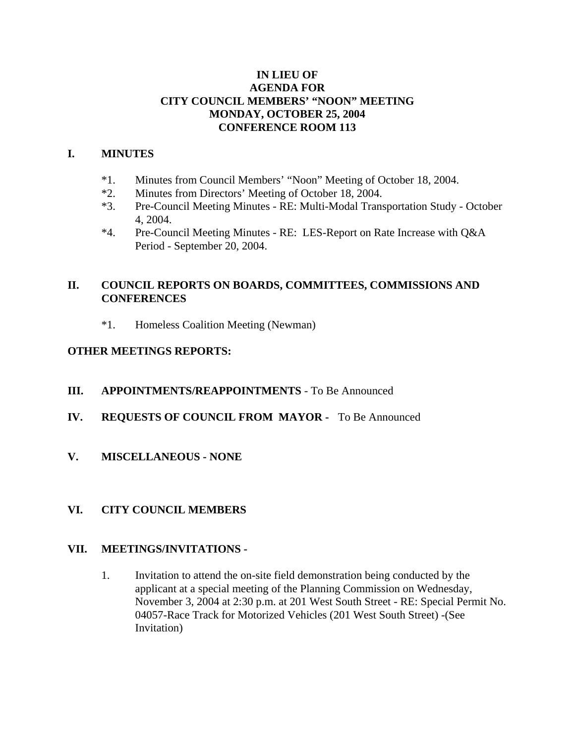#### **IN LIEU OF AGENDA FOR CITY COUNCIL MEMBERS' "NOON" MEETING MONDAY, OCTOBER 25, 2004 CONFERENCE ROOM 113**

### **I. MINUTES**

- \*1. Minutes from Council Members' "Noon" Meeting of October 18, 2004.
- \*2. Minutes from Directors' Meeting of October 18, 2004.
- \*3. Pre-Council Meeting Minutes RE: Multi-Modal Transportation Study October 4, 2004.
- \*4. Pre-Council Meeting Minutes RE: LES-Report on Rate Increase with Q&A Period - September 20, 2004.

### **II. COUNCIL REPORTS ON BOARDS, COMMITTEES, COMMISSIONS AND CONFERENCES**

\*1. Homeless Coalition Meeting (Newman)

### **OTHER MEETINGS REPORTS:**

- **III. APPOINTMENTS/REAPPOINTMENTS** To Be Announced
- **IV. REQUESTS OF COUNCIL FROM MAYOR** To Be Announced
- **V. MISCELLANEOUS NONE**

### **VI. CITY COUNCIL MEMBERS**

### **VII. MEETINGS/INVITATIONS -**

1. Invitation to attend the on-site field demonstration being conducted by the applicant at a special meeting of the Planning Commission on Wednesday, November 3, 2004 at 2:30 p.m. at 201 West South Street - RE: Special Permit No. 04057-Race Track for Motorized Vehicles (201 West South Street) -(See Invitation)